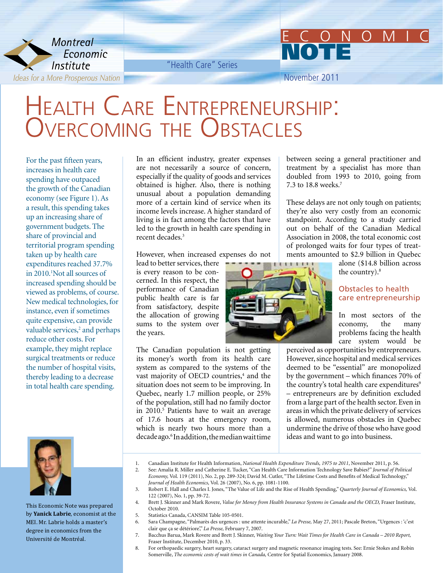

"Health Care" Series

November 2011

NOTE

## Health Care Entrepreneurship: Overcoming the Obstacles

For the past fifteen years, increases in health care spending have outpaced the growth of the Canadian economy (see Figure 1). As a result, this spending takes up an increasing share of government budgets. The share of provincial and territorial program spending taken up by health care expenditures reached 37.7% in 2010.<sup>1</sup>Not all sources of increased spending should be viewed as problems, of course. New medical technologies, for instance, even if sometimes quite expensive, can provide valuable services,<sup>2</sup> and perhaps reduce other costs. For example, they might replace surgical treatments or reduce the number of hospital visits, thereby leading to a decrease in total health care spending.



This Economic Note was prepared by **Yanick Labrie**, economist at the MEI. Mr. Labrie holds a master's degree in economics from the Université de Montréal.

In an efficient industry, greater expenses are not necessarily a source of concern, especially if the quality of goods and services obtained is higher. Also, there is nothing unusual about a population demanding more of a certain kind of service when its income levels increase. A higher standard of living is in fact among the factors that have led to the growth in health care spending in recent decades.3

However, when increased expenses do not

lead to better services, there is every reason to be concerned. In this respect, the performance of Canadian public health care is far from satisfactory, despite the allocation of growing sums to the system over the years.

The Canadian population is not getting its money's worth from its health care system as compared to the systems of the vast majority of OECD countries,<sup>4</sup> and the situation does not seem to be improving. In Quebec, nearly 1.7 million people, or 25% of the population, still had no family doctor in 2010.<sup>5</sup> Patients have to wait an average of 17.6 hours at the emergency room, which is nearly two hours more than a decade ago.6 In addition, the median wait time



These delays are not only tough on patients; they're also very costly from an economic standpoint. According to a study carried out on behalf of the Canadian Medical Association in 2008, the total economic cost of prolonged waits for four types of treatments amounted to \$2.9 billion in Quebec

> alone (\$14.8 billion across the country).<sup>8</sup>

## Obstacles to health care entrepreneurship

In most sectors of the economy, the many problems facing the health care system would be

perceived as opportunities by entrepreneurs. However, since hospital and medical services deemed to be "essential" are monopolized by the government – which finances 70% of the country's total health care expenditures<sup>9</sup> – entrepreneurs are by definition excluded from a large part of the health sector. Even in areas in which the private delivery of services is allowed, numerous obstacles in Quebec undermine the drive of those who have good ideas and want to go into business.

- 1. Canadian Institute for Health Information, *National Health Expenditure Trends, 1975 to 2011*, November 2011, p. 56.
- 2. See: Amalia R. Miller and Catherine E. Tucker, "Can Health Care Information Technology Save Babies?" *Journal of Political Economy,* Vol. 119 (2011), No. 2, pp. 289-324; David M. Cutler, "The Lifetime Costs and Benefits of Medical Technology," *Journal of Health Economics,* Vol. 26 (2007), No. 6, pp. 1081-1100.
- 3. Robert E. Hall and Charles I. Jones, "The Value of Life and the Rise of Health Spending," *Quarterly Journal of Economics,* Vol. 122 (2007), No. 1, pp. 39-72.
- 4. Brett J. Skinner and Mark Rovere, *Value for Money from Health Insurance Systems in Canada and the OECD*, Fraser Institute, October 2010.
- 5. Statistics Canada, CANSIM Table 105-0501.
- 6. Sara Champagne, "Palmarès des urgences : une attente incurable," *La Presse,* May 27, 2011; Pascale Breton, "Urgences : 'c'est clair que ça se détériore'," *La Presse,* February 7, 2007.
- 7. Bacchus Barua, Mark Rovere and Brett J. Skinner, *Waiting Your Turn: Wait Times for Health Care in Canada 2010 Report,* Fraser Institute, December 2010, p. 33.
- 8. For orthopaedic surgery, heart surgery, cataract surgery and magnetic resonance imaging tests. See: Ernie Stokes and Robin Somerville, *The economic costs of wait times in Canada,* Centre for Spatial Economics, January 2008.

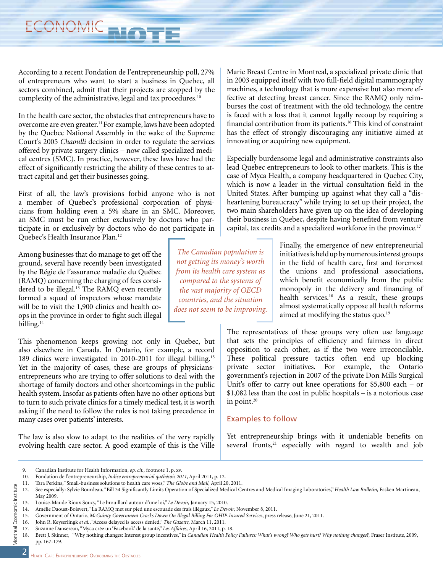According to a recent Fondation de l'entrepreneurship poll, 27% of entrepreneurs who want to start a business in Quebec, all sectors combined, admit that their projects are stopped by the complexity of the administrative, legal and tax procedures.<sup>10</sup>

In the health care sector, the obstacles that entrepreneurs have to overcome are even greater.11 For example, laws have been adopted by the Quebec National Assembly in the wake of the Supreme Court's 2005 *Chaoulli* decision in order to regulate the services offered by private surgery clinics – now called specialized medical centres (SMC). In practice, however, these laws have had the effect of significantly restricting the ability of these centres to attract capital and get their businesses going.

First of all, the law's provisions forbid anyone who is not a member of Quebec's professional corporation of physicians from holding even a 5% share in an SMC. Moreover, an SMC must be run either exclusively by doctors who participate in or exclusively by doctors who do not participate in Quebec's Health Insurance Plan.12

Among businesses that do manage to get off the ground, several have recently been investigated by the Régie de l'assurance maladie du Québec (RAMQ) concerning the charging of fees considered to be illegal.<sup>13</sup> The RAMQ even recently formed a squad of inspectors whose mandate will be to visit the 1,900 clinics and health coops in the province in order to fight such illegal billing.<sup>14</sup>

This phenomenon keeps growing not only in Quebec, but also elsewhere in Canada. In Ontario, for example, a record 189 clinics were investigated in 2010-2011 for illegal billing.15 Yet in the majority of cases, these are groups of physiciansentrepreneurs who are trying to offer solutions to deal with the shortage of family doctors and other shortcomings in the public health system. Insofar as patients often have no other options but to turn to such private clinics for a timely medical test, it is worth asking if the need to follow the rules is not taking precedence in many cases over patients' interests.

The law is also slow to adapt to the realities of the very rapidly evolving health care sector. A good example of this is the Ville

Marie Breast Centre in Montreal, a specialized private clinic that in 2003 equipped itself with two full-field digital mammography machines, a technology that is more expensive but also more effective at detecting breast cancer. Since the RAMQ only reimburses the cost of treatment with the old technology, the centre is faced with a loss that it cannot legally recoup by requiring a financial contribution from its patients.<sup>16</sup> This kind of constraint has the effect of strongly discouraging any initiative aimed at innovating or acquiring new equipment.

Especially burdensome legal and administrative constraints also lead Quebec entrepreneurs to look to other markets. This is the case of Myca Health, a company headquartered in Quebec City, which is now a leader in the virtual consultation field in the United States. After bumping up against what they call a "disheartening bureaucracy" while trying to set up their project, the two main shareholders have given up on the idea of developing their business in Quebec, despite having benefited from venture capital, tax credits and a specialized workforce in the province.17

> Finally, the emergence of new entrepreneurial initiatives is held up by numerous interest groups in the field of health care, first and foremost the unions and professional associations, which benefit economically from the public monopoly in the delivery and financing of health services.18 As a result, these groups almost systematically oppose all health reforms aimed at modifying the status quo.<sup>19</sup>

The representatives of these groups very often use language that sets the principles of efficiency and fairness in direct opposition to each other, as if the two were irreconcilable. These political pressure tactics often end up blocking private sector initiatives. For example, the Ontario government's rejection in 2007 of the private Don Mills Surgical Unit's offer to carry out knee operations for \$5,800 each – or \$1,082 less than the cost in public hospitals – is a notorious case in point.<sup>20</sup>

## Examples to follow

Yet entrepreneurship brings with it undeniable benefits on several fronts,<sup>21</sup> especially with regard to wealth and job

9. Canadian Institute for Health Information, *op. cit.,* footnote 1, p. xv.

*The Canadian population is not getting its money's worth from its health care system as compared to the systems of the vast majority of OECD countries, and the situation does not seem to be improving.* 

<sup>10.</sup> Fondation de l'entrepreneurship, *Indice entrepreneurial québécois 2011*, April 2011, p. 12.

<sup>11.</sup> Tara Perkins, "Small-business solutions to health care woes," *The Globe and Mail,* April 20, 2011.

<sup>12.</sup> See especially: Sylvie Bourdeau, "Bill 34 Significantly Limits Operation of Specialized Medical Centres and Medical Imaging Laboratories," *Health Law Bulletin,* Fasken Martineau, May 2009.

<sup>13.</sup> Louise-Maude Rioux Soucy, "Le brouillard autour d'une loi," *Le Devoir,* January 15, 2010.

<sup>14.</sup> Amélie Daoust-Boisvert, "La RAMQ met sur pied une escouade des frais illégaux," *Le Devoir,* November 8, 2011.

<sup>15.</sup> Government of Ontario, *McGuinty Government Cracks Down On Illegal Billing For OHIP-Insured Services*, press release, June 21, 2011.

<sup>16.</sup> John R. Keyserlingk *et al.*, "Access delayed is access denied," *The Gazette,* March 11, 2011.

<sup>17.</sup> Suzanne Dansereau, "Myca crée un 'Facebook' de la santé," *Les Affaires,* April 16, 2011, p. 18.

<sup>18.</sup> Brett J. Skinner, "Why nothing changes: Interest group incentives," in *Canadian Health Policy Failures: What's wrong? Who gets hurt? Why nothing changes?,* Fraser Institute, 2009, pp. 167-179.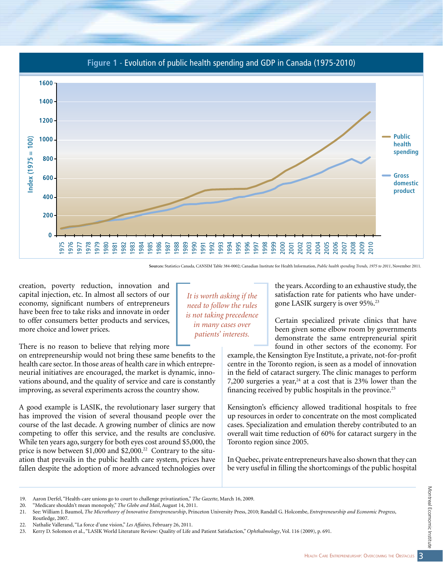

**Sources:** Statistics Canada, CANSIM Table 384-0002; Canadian Institute for Health Information, *Public health spending Trends, 1975 to 2011*, November 2011.

creation, poverty reduction, innovation and capital injection, etc. In almost all sectors of our economy, significant numbers of entrepreneurs have been free to take risks and innovate in order to offer consumers better products and services, more choice and lower prices.

There is no reason to believe that relying more

on entrepreneurship would not bring these same benefits to the health care sector. In those areas of health care in which entrepreneurial initiatives are encouraged, the market is dynamic, innovations abound, and the quality of service and care is constantly improving, as several experiments across the country show.

A good example is LASIK, the revolutionary laser surgery that has improved the vision of several thousand people over the course of the last decade. A growing number of clinics are now competing to offer this service, and the results are conclusive. While ten years ago, surgery for both eyes cost around \$5,000, the price is now between \$1,000 and \$2,000.<sup>22</sup> Contrary to the situation that prevails in the public health care system, prices have fallen despite the adoption of more advanced technologies over

*It is worth asking if the need to follow the rules is not taking precedence in many cases over patients' interests.*

the years. According to an exhaustive study, the satisfaction rate for patients who have undergone LASIK surgery is over 95%.23

Certain specialized private clinics that have been given some elbow room by governments demonstrate the same entrepreneurial spirit found in other sectors of the economy. For

example, the Kensington Eye Institute, a private, not-for-profit centre in the Toronto region, is seen as a model of innovation in the field of cataract surgery. The clinic manages to perform 7,200 surgeries a year, $24$  at a cost that is 23% lower than the financing received by public hospitals in the province.<sup>25</sup>

Kensington's efficiency allowed traditional hospitals to free up resources in order to concentrate on the most complicated cases. Specialization and emulation thereby contributed to an overall wait time reduction of 60% for cataract surgery in the Toronto region since 2005.

In Quebec, private entrepreneurs have also shown that they can be very useful in filling the shortcomings of the public hospital

<sup>19.</sup> Aaron Derfel, "Health-care unions go to court to challenge privatization," *The Gazette*, March 16, 2009.

<sup>20.</sup> "Medicare shouldn't mean monopoly," *The Globe and Mail*, August 14, 2011.

<sup>21.</sup> See: William J. Baumol, *The Microtheory of Innovative Entrepreneurship*, Princeton University Press, 2010; Randall G. Holcombe, *Entrepreneurship and Economic Progress*, Routledge, 2007.

<sup>22.</sup> Nathalie Vallerand, "La force d'une vision," *Les Affaires*, February 26, 2011.

<sup>23.</sup> Kerry D. Solomon et al., "LASIK World Literature Review: Quality of Life and Patient Satisfaction," *Ophthalmology*, Vol. 116 (2009), p. 691.